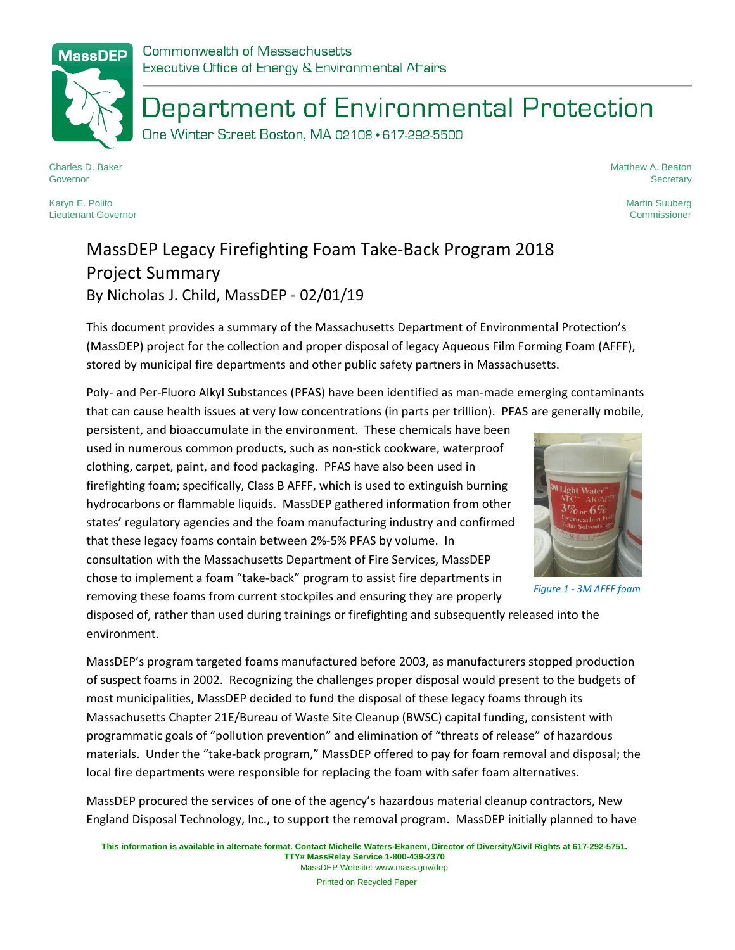## Department of Environmental Protection

One Winter Street Boston, MA 02108 · 617-292-5500

Charles D. Baker Governor

Karyn E. Polito Lieutenant Governor Matthew A. Beaton **Secretary** 

> Martin Suuberg Commissioner

## MassDEP Legacy Firefighting Foam Take‐Back Program 2018 Project Summary By Nicholas J. Child, MassDEP ‐ 02/01/19

This document provides a summary of the Massachusetts Department of Environmental Protection's (MassDEP) project for the collection and proper disposal of legacy Aqueous Film Forming Foam (AFFF), stored by municipal fire departments and other public safety partners in Massachusetts.

Poly‐ and Per‐Fluoro Alkyl Substances (PFAS) have been identified as man‐made emerging contaminants that can cause health issues at very low concentrations (in parts per trillion). PFAS are generally mobile,

persistent, and bioaccumulate in the environment. These chemicals have been used in numerous common products, such as non‐stick cookware, waterproof clothing, carpet, paint, and food packaging. PFAS have also been used in firefighting foam; specifically, Class B AFFF, which is used to extinguish burning hydrocarbons or flammable liquids. MassDEP gathered information from other states' regulatory agencies and the foam manufacturing industry and confirmed that these legacy foams contain between 2%‐5% PFAS by volume. In consultation with the Massachusetts Department of Fire Services, MassDEP chose to implement a foam "take‐back" program to assist fire departments in removing these foams from current stockpiles and ensuring they are properly



*Figure 1 ‐ 3M AFFF foam*

disposed of, rather than used during trainings or firefighting and subsequently released into the environment.

MassDEP's program targeted foams manufactured before 2003, as manufacturers stopped production of suspect foams in 2002. Recognizing the challenges proper disposal would present to the budgets of most municipalities, MassDEP decided to fund the disposal of these legacy foams through its Massachusetts Chapter 21E/Bureau of Waste Site Cleanup (BWSC) capital funding, consistent with programmatic goals of "pollution prevention" and elimination of "threats of release" of hazardous materials. Under the "take‐back program," MassDEP offered to pay for foam removal and disposal; the local fire departments were responsible for replacing the foam with safer foam alternatives.

MassDEP procured the services of one of the agency's hazardous material cleanup contractors, New England Disposal Technology, Inc., to support the removal program. MassDEP initially planned to have

Printed on Recycled Paper